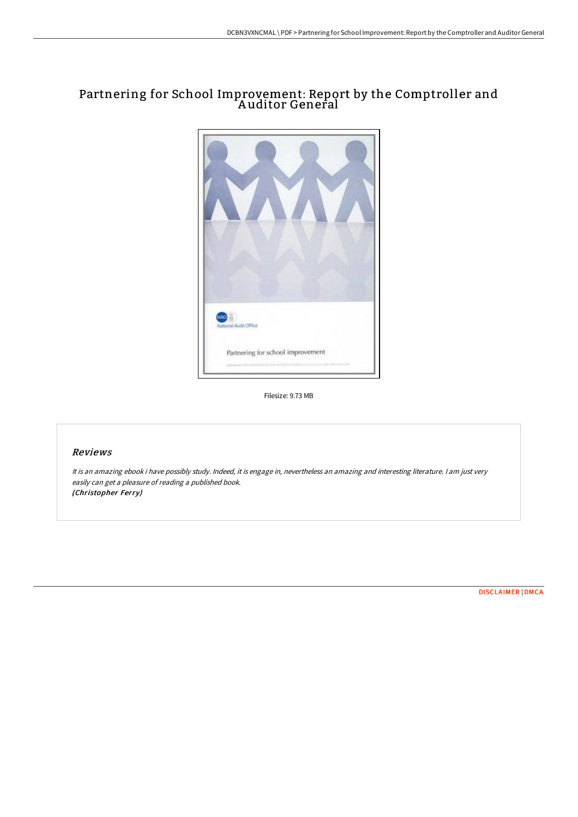## Partnering for School Improvement: Report by the Comptroller and A uditor General



Filesize: 9.73 MB

## Reviews

It is an amazing ebook i have possibly study. Indeed, it is engage in, nevertheless an amazing and interesting literature. I am just very easily can get <sup>a</sup> pleasure of reading <sup>a</sup> published book. (Christopher Ferry)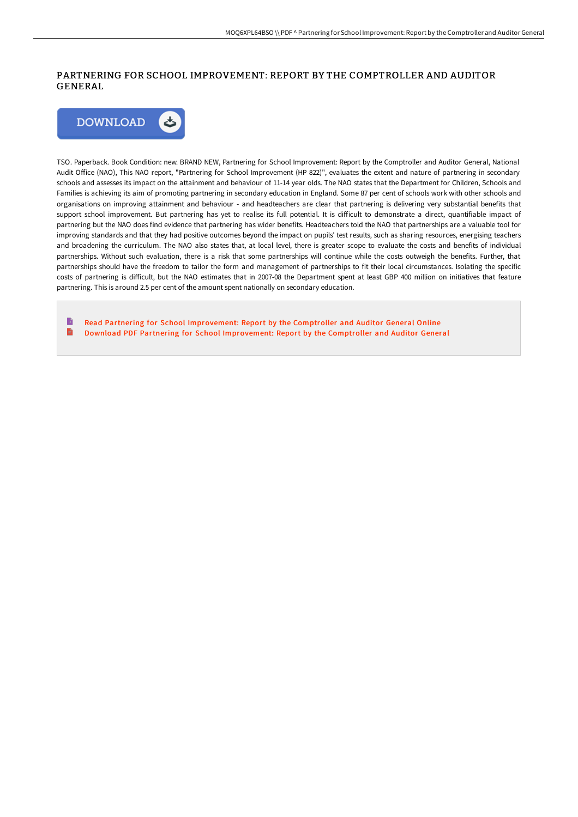## PARTNERING FOR SCHOOL IMPROVEMENT: REPORT BY THE COMPTROLLER AND AUDITOR GENERAL



TSO. Paperback. Book Condition: new. BRAND NEW, Partnering for School Improvement: Report by the Comptroller and Auditor General, National Audit Office (NAO), This NAO report, "Partnering for School Improvement (HP 822)", evaluates the extent and nature of partnering in secondary schools and assesses its impact on the attainment and behaviour of 11-14 year olds. The NAO states that the Department for Children, Schools and Families is achieving its aim of promoting partnering in secondary education in England. Some 87 per cent of schools work with other schools and organisations on improving attainment and behaviour - and headteachers are clear that partnering is delivering very substantial benefits that support school improvement. But partnering has yet to realise its full potential. It is difficult to demonstrate a direct, quantifiable impact of partnering but the NAO does find evidence that partnering has wider benefits. Headteachers told the NAO that partnerships are a valuable tool for improving standards and that they had positive outcomes beyond the impact on pupils' test results, such as sharing resources, energising teachers and broadening the curriculum. The NAO also states that, at local level, there is greater scope to evaluate the costs and benefits of individual partnerships. Without such evaluation, there is a risk that some partnerships will continue while the costs outweigh the benefits. Further, that partnerships should have the freedom to tailor the form and management of partnerships to fit their local circumstances. Isolating the specific costs of partnering is difficult, but the NAO estimates that in 2007-08 the Department spent at least GBP 400 million on initiatives that feature partnering. This is around 2.5 per cent of the amount spent nationally on secondary education.

Read Partnering for School [Improvement:](http://www.bookdirs.com/partnering-for-school-improvement-report-by-the-.html) Report by the Comptroller and Auditor General Online  $\blacksquare$ Download PDF Partnering for School [Improvement:](http://www.bookdirs.com/partnering-for-school-improvement-report-by-the-.html) Report by the Comptroller and Auditor General